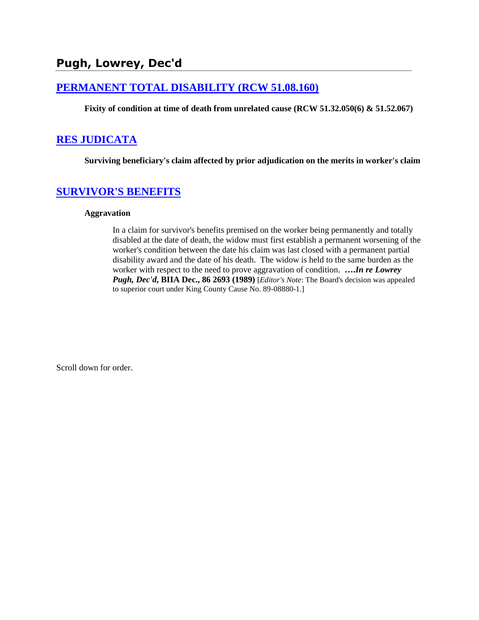# **Pugh, Lowrey, Dec'd**

### **[PERMANENT TOTAL DISABILITY \(RCW 51.08.160\)](http://www.biia.wa.gov/SDSubjectIndex.html#PERMANENT_TOTAL_DISABILITY)**

**Fixity of condition at time of death from unrelated cause (RCW 51.32.050(6) & 51.52.067)**

### **[RES JUDICATA](http://www.biia.wa.gov/SDSubjectIndex.html#RES_JUDICATA)**

**Surviving beneficiary's claim affected by prior adjudication on the merits in worker's claim**

### **[SURVIVOR'S BENEFITS](http://www.biia.wa.gov/SDSubjectIndex.html#SURVIVORS_BENEFITS)**

#### **Aggravation**

In a claim for survivor's benefits premised on the worker being permanently and totally disabled at the date of death, the widow must first establish a permanent worsening of the worker's condition between the date his claim was last closed with a permanent partial disability award and the date of his death. The widow is held to the same burden as the worker with respect to the need to prove aggravation of condition. **….***In re Lowrey Pugh, Dec'd***, BIIA Dec., 86 2693 (1989)** [*Editor's Note*: The Board's decision was appealed to superior court under King County Cause No. 89-08880-1.]

Scroll down for order.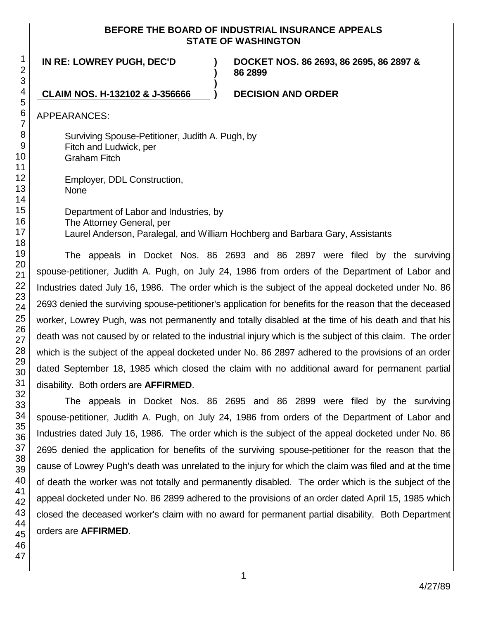#### **BEFORE THE BOARD OF INDUSTRIAL INSURANCE APPEALS STATE OF WASHINGTON**

**)**

**)**

**IN RE: LOWREY PUGH, DEC'D )**

**DOCKET NOS. 86 2693, 86 2695, 86 2897 & 86 2899**

**CLAIM NOS. H-132102 & J-356666 ) DECISION AND ORDER**

APPEARANCES:

Surviving Spouse-Petitioner, Judith A. Pugh, by Fitch and Ludwick, per Graham Fitch

Employer, DDL Construction, None

Department of Labor and Industries, by The Attorney General, per Laurel Anderson, Paralegal, and William Hochberg and Barbara Gary, Assistants

The appeals in Docket Nos. 86 2693 and 86 2897 were filed by the surviving spouse-petitioner, Judith A. Pugh, on July 24, 1986 from orders of the Department of Labor and Industries dated July 16, 1986. The order which is the subject of the appeal docketed under No. 86 2693 denied the surviving spouse-petitioner's application for benefits for the reason that the deceased worker, Lowrey Pugh, was not permanently and totally disabled at the time of his death and that his death was not caused by or related to the industrial injury which is the subject of this claim. The order which is the subject of the appeal docketed under No. 86 2897 adhered to the provisions of an order dated September 18, 1985 which closed the claim with no additional award for permanent partial disability. Both orders are **AFFIRMED**.

The appeals in Docket Nos. 86 2695 and 86 2899 were filed by the surviving spouse-petitioner, Judith A. Pugh, on July 24, 1986 from orders of the Department of Labor and Industries dated July 16, 1986. The order which is the subject of the appeal docketed under No. 86 2695 denied the application for benefits of the surviving spouse-petitioner for the reason that the cause of Lowrey Pugh's death was unrelated to the injury for which the claim was filed and at the time of death the worker was not totally and permanently disabled. The order which is the subject of the appeal docketed under No. 86 2899 adhered to the provisions of an order dated April 15, 1985 which closed the deceased worker's claim with no award for permanent partial disability. Both Department orders are **AFFIRMED**.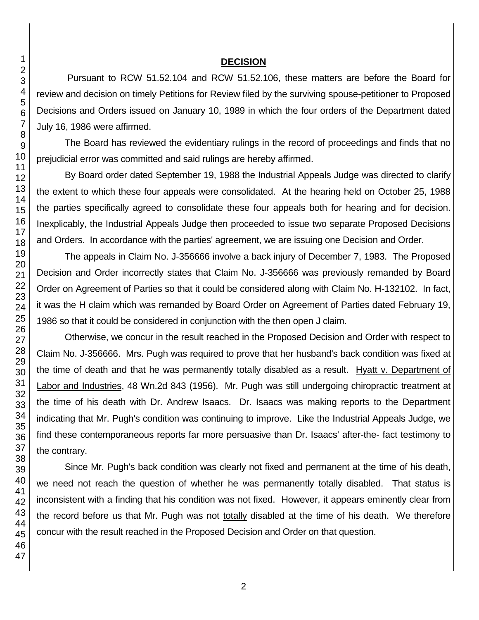#### **DECISION**

Pursuant to RCW 51.52.104 and RCW 51.52.106, these matters are before the Board for review and decision on timely Petitions for Review filed by the surviving spouse-petitioner to Proposed Decisions and Orders issued on January 10, 1989 in which the four orders of the Department dated July 16, 1986 were affirmed.

The Board has reviewed the evidentiary rulings in the record of proceedings and finds that no prejudicial error was committed and said rulings are hereby affirmed.

By Board order dated September 19, 1988 the Industrial Appeals Judge was directed to clarify the extent to which these four appeals were consolidated. At the hearing held on October 25, 1988 the parties specifically agreed to consolidate these four appeals both for hearing and for decision. Inexplicably, the Industrial Appeals Judge then proceeded to issue two separate Proposed Decisions and Orders. In accordance with the parties' agreement, we are issuing one Decision and Order.

The appeals in Claim No. J-356666 involve a back injury of December 7, 1983. The Proposed Decision and Order incorrectly states that Claim No. J-356666 was previously remanded by Board Order on Agreement of Parties so that it could be considered along with Claim No. H-132102. In fact, it was the H claim which was remanded by Board Order on Agreement of Parties dated February 19, 1986 so that it could be considered in conjunction with the then open J claim.

Otherwise, we concur in the result reached in the Proposed Decision and Order with respect to Claim No. J-356666. Mrs. Pugh was required to prove that her husband's back condition was fixed at the time of death and that he was permanently totally disabled as a result. Hyatt v. Department of Labor and Industries, 48 Wn.2d 843 (1956). Mr. Pugh was still undergoing chiropractic treatment at the time of his death with Dr. Andrew Isaacs. Dr. Isaacs was making reports to the Department indicating that Mr. Pugh's condition was continuing to improve. Like the Industrial Appeals Judge, we find these contemporaneous reports far more persuasive than Dr. Isaacs' after-the- fact testimony to the contrary.

Since Mr. Pugh's back condition was clearly not fixed and permanent at the time of his death, we need not reach the question of whether he was permanently totally disabled. That status is inconsistent with a finding that his condition was not fixed. However, it appears eminently clear from the record before us that Mr. Pugh was not totally disabled at the time of his death. We therefore concur with the result reached in the Proposed Decision and Order on that question.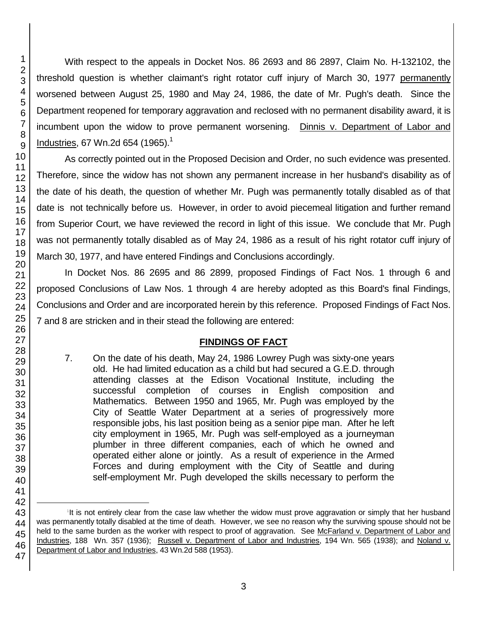47

With respect to the appeals in Docket Nos. 86 2693 and 86 2897, Claim No. H-132102, the threshold question is whether claimant's right rotator cuff injury of March 30, 1977 permanently worsened between August 25, 1980 and May 24, 1986, the date of Mr. Pugh's death. Since the Department reopened for temporary aggravation and reclosed with no permanent disability award, it is incumbent upon the widow to prove permanent worsening. Dinnis v. Department of Labor and Industries, 67 Wn.2d 654 (1965).<sup>1</sup>

As correctly pointed out in the Proposed Decision and Order, no such evidence was presented. Therefore, since the widow has not shown any permanent increase in her husband's disability as of the date of his death, the question of whether Mr. Pugh was permanently totally disabled as of that date is not technically before us. However, in order to avoid piecemeal litigation and further remand from Superior Court, we have reviewed the record in light of this issue. We conclude that Mr. Pugh was not permanently totally disabled as of May 24, 1986 as a result of his right rotator cuff injury of March 30, 1977, and have entered Findings and Conclusions accordingly.

In Docket Nos. 86 2695 and 86 2899, proposed Findings of Fact Nos. 1 through 6 and proposed Conclusions of Law Nos. 1 through 4 are hereby adopted as this Board's final Findings, Conclusions and Order and are incorporated herein by this reference. Proposed Findings of Fact Nos. 7 and 8 are stricken and in their stead the following are entered:

# **FINDINGS OF FACT**

7. On the date of his death, May 24, 1986 Lowrey Pugh was sixty-one years old. He had limited education as a child but had secured a G.E.D. through attending classes at the Edison Vocational Institute, including the successful completion of courses in English composition and Mathematics. Between 1950 and 1965, Mr. Pugh was employed by the City of Seattle Water Department at a series of progressively more responsible jobs, his last position being as a senior pipe man. After he left city employment in 1965, Mr. Pugh was self-employed as a journeyman plumber in three different companies, each of which he owned and operated either alone or jointly. As a result of experience in the Armed Forces and during employment with the City of Seattle and during self-employment Mr. Pugh developed the skills necessary to perform the

<sup>&</sup>lt;sup>1</sup>It is not entirely clear from the case law whether the widow must prove aggravation or simply that her husband was permanently totally disabled at the time of death. However, we see no reason why the surviving spouse should not be held to the same burden as the worker with respect to proof of aggravation. See McFarland v. Department of Labor and Industries, 188 Wn. 357 (1936); Russell v. Department of Labor and Industries, 194 Wn. 565 (1938); and Noland v. Department of Labor and Industries, 43 Wn.2d 588 (1953).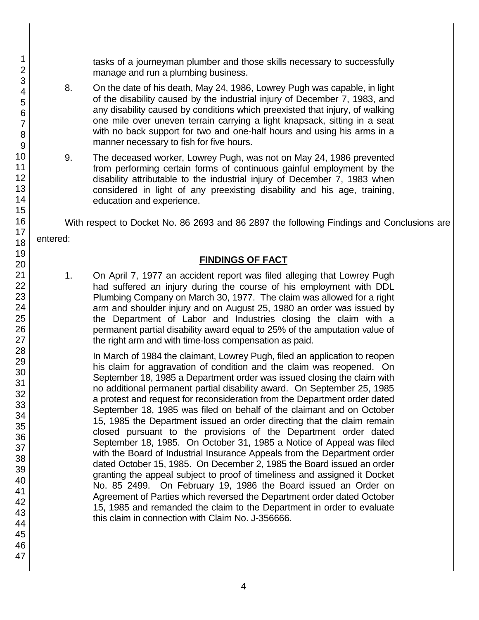tasks of a journeyman plumber and those skills necessary to successfully manage and run a plumbing business.

- 8. On the date of his death, May 24, 1986, Lowrey Pugh was capable, in light of the disability caused by the industrial injury of December 7, 1983, and any disability caused by conditions which preexisted that injury, of walking one mile over uneven terrain carrying a light knapsack, sitting in a seat with no back support for two and one-half hours and using his arms in a manner necessary to fish for five hours.
- 9. The deceased worker, Lowrey Pugh, was not on May 24, 1986 prevented from performing certain forms of continuous gainful employment by the disability attributable to the industrial injury of December 7, 1983 when considered in light of any preexisting disability and his age, training, education and experience.

With respect to Docket No. 86 2693 and 86 2897 the following Findings and Conclusions are

entered:

### **FINDINGS OF FACT**

1. On April 7, 1977 an accident report was filed alleging that Lowrey Pugh had suffered an injury during the course of his employment with DDL Plumbing Company on March 30, 1977. The claim was allowed for a right arm and shoulder injury and on August 25, 1980 an order was issued by the Department of Labor and Industries closing the claim with a permanent partial disability award equal to 25% of the amputation value of the right arm and with time-loss compensation as paid.

In March of 1984 the claimant, Lowrey Pugh, filed an application to reopen his claim for aggravation of condition and the claim was reopened. On September 18, 1985 a Department order was issued closing the claim with no additional permanent partial disability award. On September 25, 1985 a protest and request for reconsideration from the Department order dated September 18, 1985 was filed on behalf of the claimant and on October 15, 1985 the Department issued an order directing that the claim remain closed pursuant to the provisions of the Department order dated September 18, 1985. On October 31, 1985 a Notice of Appeal was filed with the Board of Industrial Insurance Appeals from the Department order dated October 15, 1985. On December 2, 1985 the Board issued an order granting the appeal subject to proof of timeliness and assigned it Docket No. 85 2499. On February 19, 1986 the Board issued an Order on Agreement of Parties which reversed the Department order dated October 15, 1985 and remanded the claim to the Department in order to evaluate this claim in connection with Claim No. J-356666.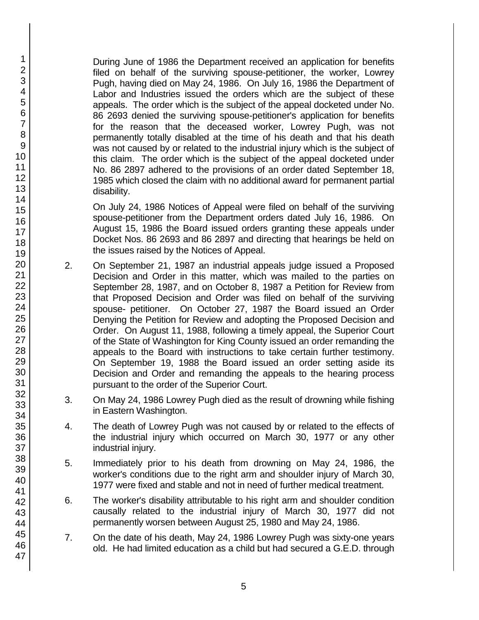During June of 1986 the Department received an application for benefits filed on behalf of the surviving spouse-petitioner, the worker, Lowrey Pugh, having died on May 24, 1986. On July 16, 1986 the Department of Labor and Industries issued the orders which are the subject of these appeals. The order which is the subject of the appeal docketed under No. 86 2693 denied the surviving spouse-petitioner's application for benefits for the reason that the deceased worker, Lowrey Pugh, was not permanently totally disabled at the time of his death and that his death was not caused by or related to the industrial injury which is the subject of this claim. The order which is the subject of the appeal docketed under No. 86 2897 adhered to the provisions of an order dated September 18, 1985 which closed the claim with no additional award for permanent partial disability.

On July 24, 1986 Notices of Appeal were filed on behalf of the surviving spouse-petitioner from the Department orders dated July 16, 1986. On August 15, 1986 the Board issued orders granting these appeals under Docket Nos. 86 2693 and 86 2897 and directing that hearings be held on the issues raised by the Notices of Appeal.

- 2. On September 21, 1987 an industrial appeals judge issued a Proposed Decision and Order in this matter, which was mailed to the parties on September 28, 1987, and on October 8, 1987 a Petition for Review from that Proposed Decision and Order was filed on behalf of the surviving spouse- petitioner. On October 27, 1987 the Board issued an Order Denying the Petition for Review and adopting the Proposed Decision and Order. On August 11, 1988, following a timely appeal, the Superior Court of the State of Washington for King County issued an order remanding the appeals to the Board with instructions to take certain further testimony. On September 19, 1988 the Board issued an order setting aside its Decision and Order and remanding the appeals to the hearing process pursuant to the order of the Superior Court.
- 3. On May 24, 1986 Lowrey Pugh died as the result of drowning while fishing in Eastern Washington.
- 4. The death of Lowrey Pugh was not caused by or related to the effects of the industrial injury which occurred on March 30, 1977 or any other industrial injury.
- 5. Immediately prior to his death from drowning on May 24, 1986, the worker's conditions due to the right arm and shoulder injury of March 30, 1977 were fixed and stable and not in need of further medical treatment.
- 6. The worker's disability attributable to his right arm and shoulder condition causally related to the industrial injury of March 30, 1977 did not permanently worsen between August 25, 1980 and May 24, 1986.
- 7. On the date of his death, May 24, 1986 Lowrey Pugh was sixty-one years old. He had limited education as a child but had secured a G.E.D. through

47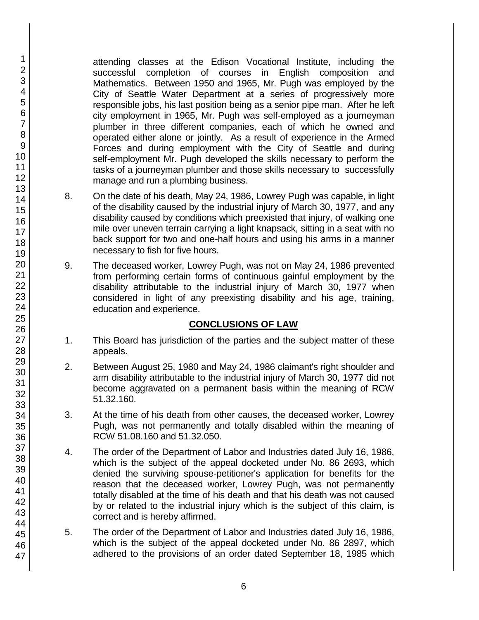attending classes at the Edison Vocational Institute, including the successful completion of courses in English composition and Mathematics. Between 1950 and 1965, Mr. Pugh was employed by the City of Seattle Water Department at a series of progressively more responsible jobs, his last position being as a senior pipe man. After he left city employment in 1965, Mr. Pugh was self-employed as a journeyman plumber in three different companies, each of which he owned and operated either alone or jointly. As a result of experience in the Armed Forces and during employment with the City of Seattle and during self-employment Mr. Pugh developed the skills necessary to perform the tasks of a journeyman plumber and those skills necessary to successfully manage and run a plumbing business.

- 8. On the date of his death, May 24, 1986, Lowrey Pugh was capable, in light of the disability caused by the industrial injury of March 30, 1977, and any disability caused by conditions which preexisted that injury, of walking one mile over uneven terrain carrying a light knapsack, sitting in a seat with no back support for two and one-half hours and using his arms in a manner necessary to fish for five hours.
- 9. The deceased worker, Lowrey Pugh, was not on May 24, 1986 prevented from performing certain forms of continuous gainful employment by the disability attributable to the industrial injury of March 30, 1977 when considered in light of any preexisting disability and his age, training, education and experience.

## **CONCLUSIONS OF LAW**

- 1. This Board has jurisdiction of the parties and the subject matter of these appeals.
- 2. Between August 25, 1980 and May 24, 1986 claimant's right shoulder and arm disability attributable to the industrial injury of March 30, 1977 did not become aggravated on a permanent basis within the meaning of RCW 51.32.160.
- 3. At the time of his death from other causes, the deceased worker, Lowrey Pugh, was not permanently and totally disabled within the meaning of RCW 51.08.160 and 51.32.050.
- 4. The order of the Department of Labor and Industries dated July 16, 1986, which is the subject of the appeal docketed under No. 86 2693, which denied the surviving spouse-petitioner's application for benefits for the reason that the deceased worker, Lowrey Pugh, was not permanently totally disabled at the time of his death and that his death was not caused by or related to the industrial injury which is the subject of this claim, is correct and is hereby affirmed.
- 5. The order of the Department of Labor and Industries dated July 16, 1986, which is the subject of the appeal docketed under No. 86 2897, which adhered to the provisions of an order dated September 18, 1985 which

46 47